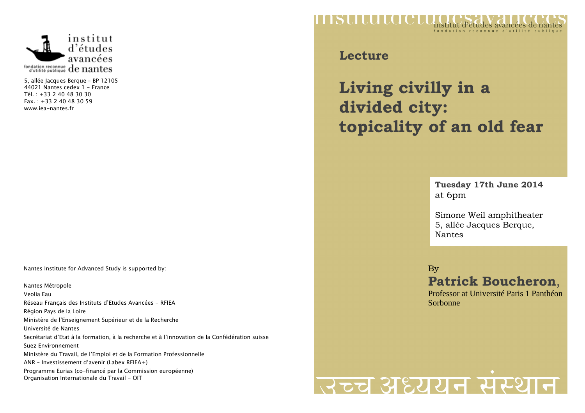

5, allée Jacques Berque – BP 12105 44021 Nantes cedex 1 - France Tél. : +33 2 40 48 30 30 Fax. : +33 2 40 48 30 59 www.iea-nantes.fr

Nantes Institute for Advanced Study is supported by:

Nantes Métropole Veolia Eau Réseau Français des Instituts d'Etudes Avancées - RFIEA Région Pays de la Loire Ministère de l'Enseignement Supérieur et de la Recherche Université de Nantes Secrétariat d'Etat à la formation, à la recherche et à l'innovation de la Confédération suisse Suez Environnement Ministère du Travail, de l'Emploi et de la Formation Professionnelle ANR – Investissement d'avenir (Labex RFIEA+) Programme Eurias (co-financé par la Commission européenne) Organisation Internationale du Travail - OIT



**Lecture**

**Living civilly in a divided city: topicality of an old fear** 

> **Tuesday 17th June 2014** at 6pm

> Simone Weil amphitheater 5, allée Jacques Berque, Nantes

By

**Patrick Boucheron**,

 Professor at Université Paris 1 Panthéon Sorbonne

## स्टूच अध्ययन संस्थान